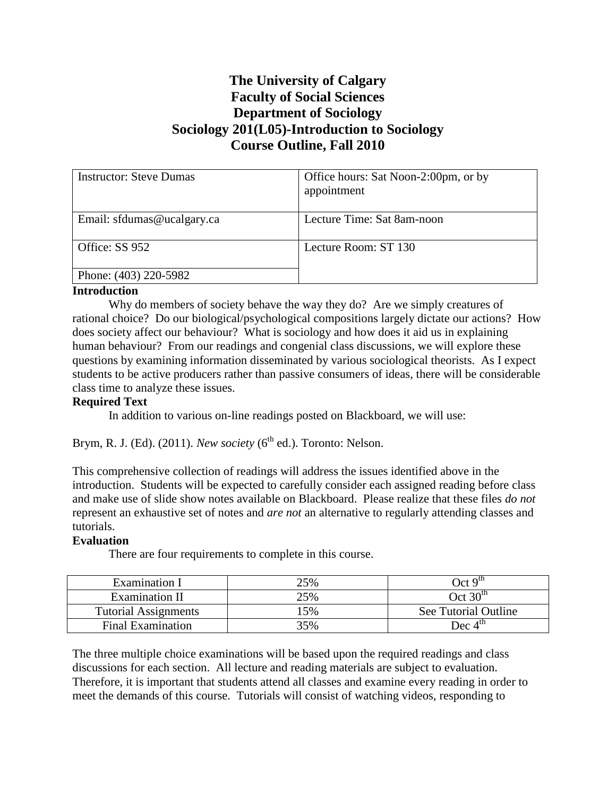# **The University of Calgary Faculty of Social Sciences Department of Sociology Sociology 201(L05)-Introduction to Sociology Course Outline, Fall 2010**

| <b>Instructor: Steve Dumas</b> | Office hours: Sat Noon-2:00pm, or by<br>appointment |
|--------------------------------|-----------------------------------------------------|
| Email: sfdumas@ucalgary.ca     | Lecture Time: Sat 8am-noon                          |
| Office: SS 952                 | Lecture Room: ST 130                                |
| Phone: (403) 220-5982          |                                                     |

#### **Introduction**

Why do members of society behave the way they do? Are we simply creatures of rational choice? Do our biological/psychological compositions largely dictate our actions? How does society affect our behaviour? What is sociology and how does it aid us in explaining human behaviour? From our readings and congenial class discussions, we will explore these questions by examining information disseminated by various sociological theorists. As I expect students to be active producers rather than passive consumers of ideas, there will be considerable class time to analyze these issues.

#### **Required Text**

In addition to various on-line readings posted on Blackboard, we will use:

Brym, R. J. (Ed).  $(2011)$ . *New society*  $(6^{th}$  ed.). Toronto: Nelson.

This comprehensive collection of readings will address the issues identified above in the introduction. Students will be expected to carefully consider each assigned reading before class and make use of slide show notes available on Blackboard. Please realize that these files *do not* represent an exhaustive set of notes and *are not* an alternative to regularly attending classes and tutorials.

#### **Evaluation**

There are four requirements to complete in this course.

| Examination I               | 25% | Oct 9 <sup>tn</sup>  |
|-----------------------------|-----|----------------------|
| Examination II              | 25% | Oct 30 <sup>th</sup> |
| <b>Tutorial Assignments</b> | 15% | See Tutorial Outline |
| <b>Final Examination</b>    | 35% | Dec $4^{\text{th}}$  |

The three multiple choice examinations will be based upon the required readings and class discussions for each section. All lecture and reading materials are subject to evaluation. Therefore, it is important that students attend all classes and examine every reading in order to meet the demands of this course. Tutorials will consist of watching videos, responding to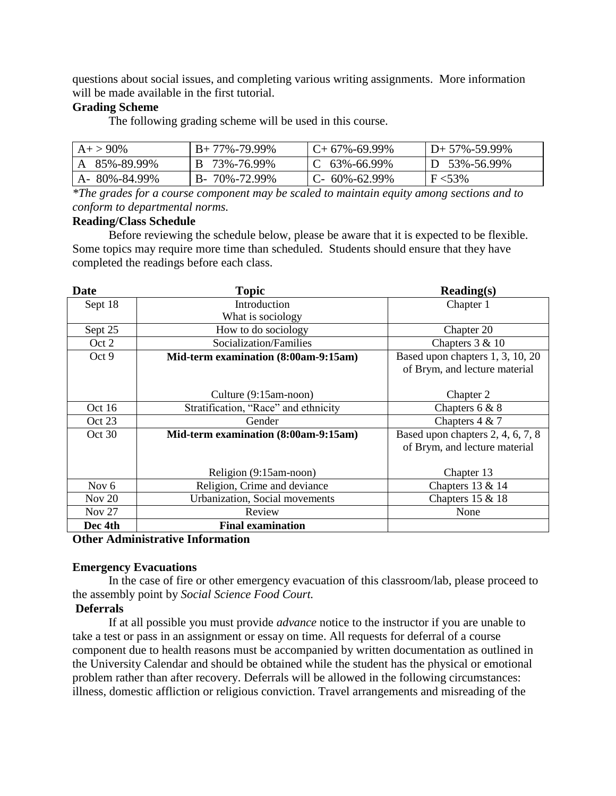questions about social issues, and completing various writing assignments. More information will be made available in the first tutorial.

### **Grading Scheme**

The following grading scheme will be used in this course.

| $A+ > 90\%$  | $B+77\% -79.99\%$    | $C+67\% -69.99\%$ | $D+57\% -59.99\%$ |
|--------------|----------------------|-------------------|-------------------|
| A 85%-89.99% | B 73%-76.99%         | $\,C$ 63%-66.99%  | D 53%-56.99%      |
| A-80%-84.99% | $B - 70\% - 72.99\%$ | $C-60\% -62.99\%$ | $F < 53\%$        |

*\*The grades for a course component may be scaled to maintain equity among sections and to conform to departmental norms.*

#### **Reading/Class Schedule**

Before reviewing the schedule below, please be aware that it is expected to be flexible. Some topics may require more time than scheduled. Students should ensure that they have completed the readings before each class.

| <b>Date</b>   | <b>Topic</b>                         | $\textbf{Reading}(s)$             |
|---------------|--------------------------------------|-----------------------------------|
| Sept 18       | Introduction                         | Chapter 1                         |
|               | What is sociology                    |                                   |
| Sept 25       | How to do sociology                  | Chapter 20                        |
| Oct 2         | Socialization/Families               | Chapters $3 & 10$                 |
| Oct 9         | Mid-term examination (8:00am-9:15am) | Based upon chapters 1, 3, 10, 20  |
|               |                                      | of Brym, and lecture material     |
|               |                                      |                                   |
|               | Culture (9:15am-noon)                | Chapter 2                         |
| Oct 16        | Stratification, "Race" and ethnicity | Chapters $6 & 8$                  |
| Oct 23        | Gender                               | Chapters 4 & 7                    |
| Oct 30        | Mid-term examination (8:00am-9:15am) | Based upon chapters 2, 4, 6, 7, 8 |
|               |                                      | of Brym, and lecture material     |
|               |                                      |                                   |
|               | Religion (9:15am-noon)               | Chapter 13                        |
| Nov $6$       | Religion, Crime and deviance         | Chapters $13 & 14$                |
| Nov $20$      | Urbanization, Social movements       | Chapters 15 & 18                  |
| <b>Nov 27</b> | Review                               | None                              |
| Dec 4th       | <b>Final examination</b>             |                                   |

#### **Other Administrative Information**

#### **Emergency Evacuations**

In the case of fire or other emergency evacuation of this classroom/lab, please proceed to the assembly point by *Social Science Food Court.*

#### **Deferrals**

If at all possible you must provide *advance* notice to the instructor if you are unable to take a test or pass in an assignment or essay on time. All requests for deferral of a course component due to health reasons must be accompanied by written documentation as outlined in the University Calendar and should be obtained while the student has the physical or emotional problem rather than after recovery. Deferrals will be allowed in the following circumstances: illness, domestic affliction or religious conviction. Travel arrangements and misreading of the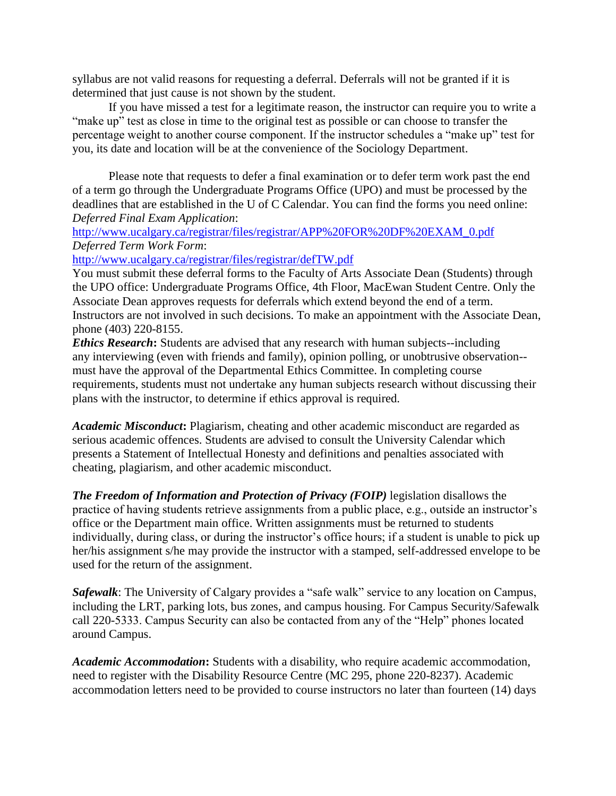syllabus are not valid reasons for requesting a deferral. Deferrals will not be granted if it is determined that just cause is not shown by the student.

If you have missed a test for a legitimate reason, the instructor can require you to write a "make up" test as close in time to the original test as possible or can choose to transfer the percentage weight to another course component. If the instructor schedules a "make up" test for you, its date and location will be at the convenience of the Sociology Department.

Please note that requests to defer a final examination or to defer term work past the end of a term go through the Undergraduate Programs Office (UPO) and must be processed by the deadlines that are established in the U of C Calendar. You can find the forms you need online: *Deferred Final Exam Application*:

## [http://www.ucalgary.ca/registrar/files/registrar/APP%20FOR%20DF%20EXAM\\_0.pdf](http://www.ucalgary.ca/registrar/files/registrar/APP%20FOR%20DF%20EXAM_0.pdf) *Deferred Term Work Form*:

<http://www.ucalgary.ca/registrar/files/registrar/defTW.pdf>

You must submit these deferral forms to the Faculty of Arts Associate Dean (Students) through the UPO office: Undergraduate Programs Office, 4th Floor, MacEwan Student Centre. Only the Associate Dean approves requests for deferrals which extend beyond the end of a term. Instructors are not involved in such decisions. To make an appointment with the Associate Dean, phone (403) 220-8155.

*Ethics Research***:** Students are advised that any research with human subjects--including any interviewing (even with friends and family), opinion polling, or unobtrusive observation- must have the approval of the Departmental Ethics Committee. In completing course requirements, students must not undertake any human subjects research without discussing their plans with the instructor, to determine if ethics approval is required.

*Academic Misconduct***:** Plagiarism, cheating and other academic misconduct are regarded as serious academic offences. Students are advised to consult the University Calendar which presents a Statement of Intellectual Honesty and definitions and penalties associated with cheating, plagiarism, and other academic misconduct.

*The Freedom of Information and Protection of Privacy (FOIP)* legislation disallows the practice of having students retrieve assignments from a public place, e.g., outside an instructor's office or the Department main office. Written assignments must be returned to students individually, during class, or during the instructor's office hours; if a student is unable to pick up her/his assignment s/he may provide the instructor with a stamped, self-addressed envelope to be used for the return of the assignment.

*Safewalk*: The University of Calgary provides a "safe walk" service to any location on Campus, including the LRT, parking lots, bus zones, and campus housing. For Campus Security/Safewalk call 220-5333. Campus Security can also be contacted from any of the "Help" phones located around Campus.

*Academic Accommodation***:** Students with a disability, who require academic accommodation, need to register with the Disability Resource Centre (MC 295, phone 220-8237). Academic accommodation letters need to be provided to course instructors no later than fourteen (14) days